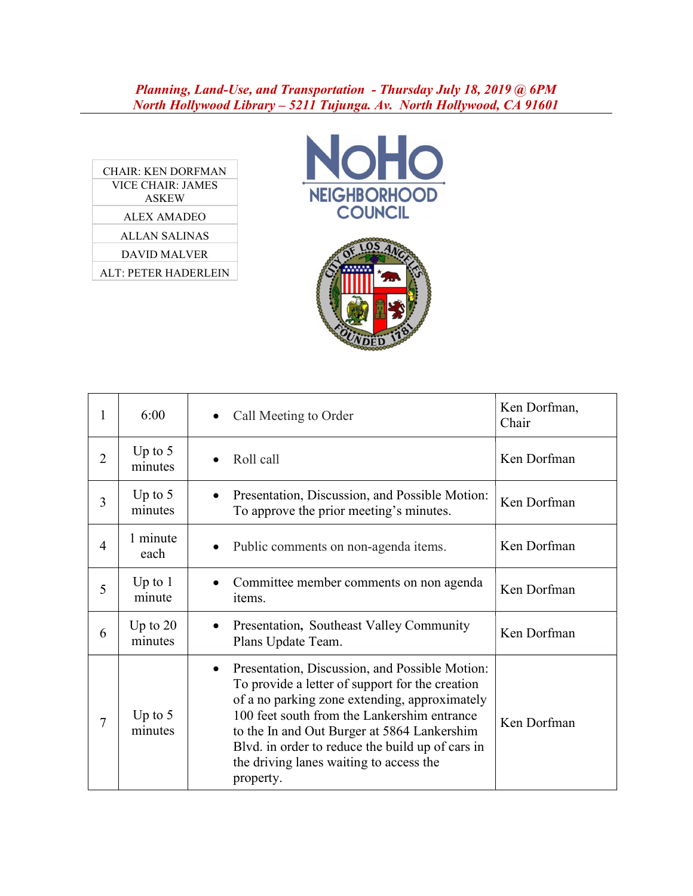## Planning, Land-Use, and Transportation - Thursday July 18, 2019 @ 6PM North Hollywood Library – 5211 Tujunga. Av. North Hollywood, CA 91601

| <b>CHAIR: KEN DORFMAN</b>   |
|-----------------------------|
| VICE CHAIR: JAMES           |
| <b>ASKEW</b>                |
| ALEX AMADEO                 |
| <b>ALLAN SALINAS</b>        |
| DAVID MALVER                |
| <b>ALT: PETER HADERLEIN</b> |
|                             |





| 1              | 6:00                  | Call Meeting to Order                                                                                                                                                                                                                                                                                                                                                     | Ken Dorfman,<br>Chair |
|----------------|-----------------------|---------------------------------------------------------------------------------------------------------------------------------------------------------------------------------------------------------------------------------------------------------------------------------------------------------------------------------------------------------------------------|-----------------------|
| $\overline{2}$ | Up to $5$<br>minutes  | Roll call                                                                                                                                                                                                                                                                                                                                                                 | Ken Dorfman           |
| 3              | Up to $5$<br>minutes  | Presentation, Discussion, and Possible Motion:<br>$\bullet$<br>To approve the prior meeting's minutes.                                                                                                                                                                                                                                                                    | Ken Dorfman           |
| $\overline{4}$ | 1 minute<br>each      | Public comments on non-agenda items.<br>٠                                                                                                                                                                                                                                                                                                                                 | Ken Dorfman           |
| 5              | Up to $1$<br>minute   | Committee member comments on non agenda<br>items.                                                                                                                                                                                                                                                                                                                         | Ken Dorfman           |
| 6              | Up to $20$<br>minutes | Presentation, Southeast Valley Community<br>Plans Update Team.                                                                                                                                                                                                                                                                                                            | Ken Dorfman           |
| 7              | Up to $5$<br>minutes  | Presentation, Discussion, and Possible Motion:<br>$\bullet$<br>To provide a letter of support for the creation<br>of a no parking zone extending, approximately<br>100 feet south from the Lankershim entrance<br>to the In and Out Burger at 5864 Lankershim<br>Blvd. in order to reduce the build up of cars in<br>the driving lanes waiting to access the<br>property. | Ken Dorfman           |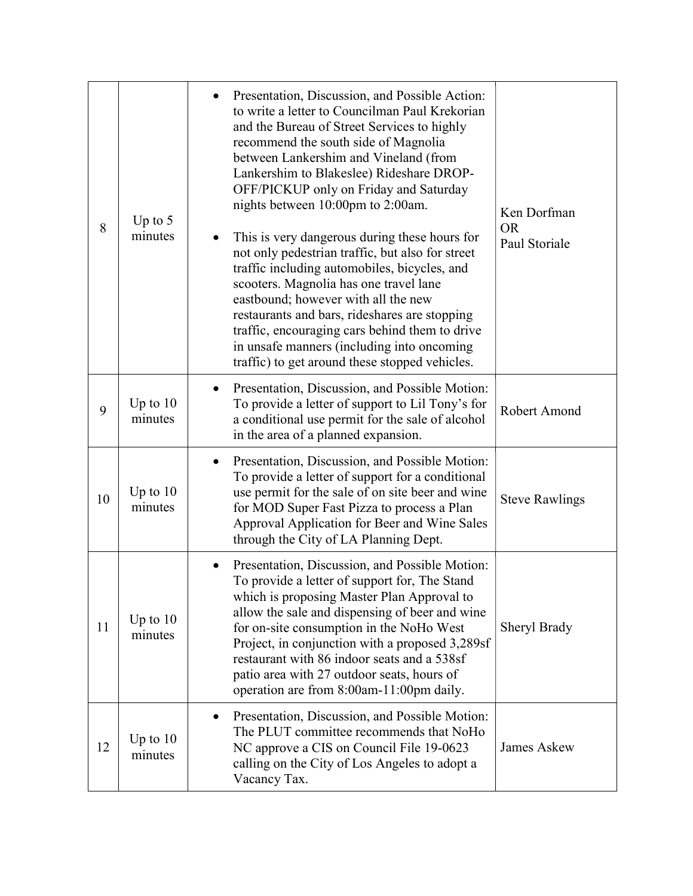| 8  | Up to $5$<br>minutes  | Presentation, Discussion, and Possible Action:<br>to write a letter to Councilman Paul Krekorian<br>and the Bureau of Street Services to highly<br>recommend the south side of Magnolia<br>between Lankershim and Vineland (from<br>Lankershim to Blakeslee) Rideshare DROP-<br>OFF/PICKUP only on Friday and Saturday<br>nights between 10:00pm to 2:00am.<br>This is very dangerous during these hours for<br>not only pedestrian traffic, but also for street<br>traffic including automobiles, bicycles, and<br>scooters. Magnolia has one travel lane<br>eastbound; however with all the new<br>restaurants and bars, rideshares are stopping<br>traffic, encouraging cars behind them to drive<br>in unsafe manners (including into oncoming<br>traffic) to get around these stopped vehicles. | Ken Dorfman<br><b>OR</b><br>Paul Storiale |
|----|-----------------------|------------------------------------------------------------------------------------------------------------------------------------------------------------------------------------------------------------------------------------------------------------------------------------------------------------------------------------------------------------------------------------------------------------------------------------------------------------------------------------------------------------------------------------------------------------------------------------------------------------------------------------------------------------------------------------------------------------------------------------------------------------------------------------------------------|-------------------------------------------|
| 9  | Up to $10$<br>minutes | Presentation, Discussion, and Possible Motion:<br>To provide a letter of support to Lil Tony's for<br>a conditional use permit for the sale of alcohol<br>in the area of a planned expansion.                                                                                                                                                                                                                                                                                                                                                                                                                                                                                                                                                                                                        | Robert Amond                              |
| 10 | Up to $10$<br>minutes | Presentation, Discussion, and Possible Motion:<br>$\bullet$<br>To provide a letter of support for a conditional<br>use permit for the sale of on site beer and wine<br>for MOD Super Fast Pizza to process a Plan<br>Approval Application for Beer and Wine Sales<br>through the City of LA Planning Dept.                                                                                                                                                                                                                                                                                                                                                                                                                                                                                           | <b>Steve Rawlings</b>                     |
| 11 | Up to $10$<br>minutes | Presentation, Discussion, and Possible Motion:<br>To provide a letter of support for, The Stand<br>which is proposing Master Plan Approval to<br>allow the sale and dispensing of beer and wine<br>for on-site consumption in the NoHo West<br>Project, in conjunction with a proposed 3,289sf<br>restaurant with 86 indoor seats and a 538sf<br>patio area with 27 outdoor seats, hours of<br>operation are from 8:00am-11:00pm daily.                                                                                                                                                                                                                                                                                                                                                              | Sheryl Brady                              |
| 12 | Up to $10$<br>minutes | Presentation, Discussion, and Possible Motion:<br>$\bullet$<br>The PLUT committee recommends that NoHo<br>NC approve a CIS on Council File 19-0623<br>calling on the City of Los Angeles to adopt a<br>Vacancy Tax.                                                                                                                                                                                                                                                                                                                                                                                                                                                                                                                                                                                  | <b>James Askew</b>                        |